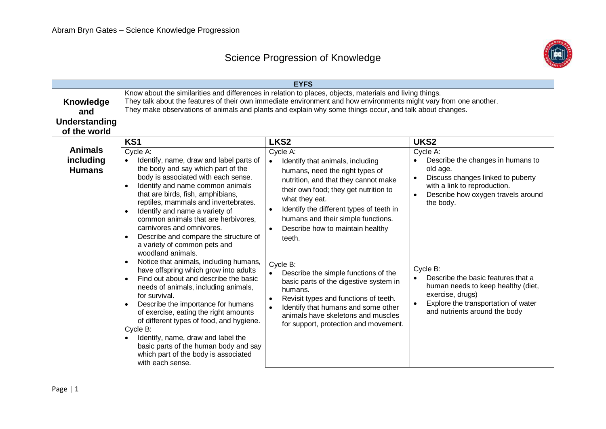## Science Progression of Knowledge



|                                                   |                                                                                                                                                                                                                                                                                                                                                                                                                                                                                                                                                                                | <b>EYFS</b>                                                                                                                                                                                                                                                                                                                                            |                                                                                                                                                                                                                    |
|---------------------------------------------------|--------------------------------------------------------------------------------------------------------------------------------------------------------------------------------------------------------------------------------------------------------------------------------------------------------------------------------------------------------------------------------------------------------------------------------------------------------------------------------------------------------------------------------------------------------------------------------|--------------------------------------------------------------------------------------------------------------------------------------------------------------------------------------------------------------------------------------------------------------------------------------------------------------------------------------------------------|--------------------------------------------------------------------------------------------------------------------------------------------------------------------------------------------------------------------|
| Knowledge<br>and<br>Understanding<br>of the world |                                                                                                                                                                                                                                                                                                                                                                                                                                                                                                                                                                                | Know about the similarities and differences in relation to places, objects, materials and living things.<br>They talk about the features of their own immediate environment and how environments might vary from one another.<br>They make observations of animals and plants and explain why some things occur, and talk about changes.               |                                                                                                                                                                                                                    |
| <b>Animals</b><br>including<br><b>Humans</b>      | KS <sub>1</sub><br>Cycle A:<br>Identify, name, draw and label parts of<br>$\bullet$<br>the body and say which part of the<br>body is associated with each sense.<br>Identify and name common animals<br>that are birds, fish, amphibians,<br>reptiles, mammals and invertebrates.<br>Identify and name a variety of<br>$\bullet$<br>common animals that are herbivores.<br>carnivores and omnivores.                                                                                                                                                                           | LKS <sub>2</sub><br>Cycle A:<br>Identify that animals, including<br>$\bullet$<br>humans, need the right types of<br>nutrition, and that they cannot make<br>their own food; they get nutrition to<br>what they eat.<br>Identify the different types of teeth in<br>$\bullet$<br>humans and their simple functions.<br>Describe how to maintain healthy | UKS <sub>2</sub><br>Cycle A:<br>Describe the changes in humans to<br>$\bullet$<br>old age.<br>Discuss changes linked to puberty<br>with a link to reproduction.<br>Describe how oxygen travels around<br>the body. |
|                                                   | Describe and compare the structure of<br>a variety of common pets and<br>woodland animals.<br>Notice that animals, including humans,<br>$\bullet$<br>have offspring which grow into adults<br>Find out about and describe the basic<br>needs of animals, including animals,<br>for survival.<br>Describe the importance for humans<br>of exercise, eating the right amounts<br>of different types of food, and hygiene.<br>Cycle B:<br>Identify, name, draw and label the<br>basic parts of the human body and say<br>which part of the body is associated<br>with each sense. | teeth.<br>Cycle B:<br>Describe the simple functions of the<br>basic parts of the digestive system in<br>humans.<br>Revisit types and functions of teeth.<br>$\bullet$<br>Identify that humans and some other<br>$\bullet$<br>animals have skeletons and muscles<br>for support, protection and movement.                                               | Cycle B:<br>Describe the basic features that a<br>$\bullet$<br>human needs to keep healthy (diet,<br>exercise, drugs)<br>Explore the transportation of water<br>and nutrients around the body                      |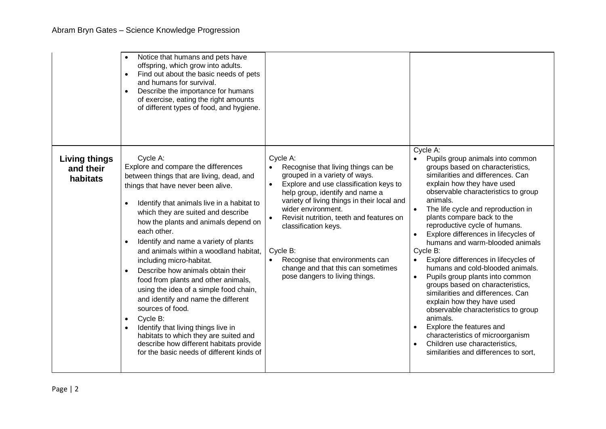|                                               | Notice that humans and pets have<br>offspring, which grow into adults.<br>Find out about the basic needs of pets<br>$\bullet$<br>and humans for survival.<br>Describe the importance for humans<br>$\bullet$<br>of exercise, eating the right amounts<br>of different types of food, and hygiene.                                                                                                                                                                                                                                                                                                                                                                                                                                                                                                                     |                                                                                                                                                                                                                                                                                                                                                                                                                                            |                                                                                                                                                                                                                                                                                                                                                                                                                                                                                                                                                                                                                                                                                                                                                                                                                                                              |
|-----------------------------------------------|-----------------------------------------------------------------------------------------------------------------------------------------------------------------------------------------------------------------------------------------------------------------------------------------------------------------------------------------------------------------------------------------------------------------------------------------------------------------------------------------------------------------------------------------------------------------------------------------------------------------------------------------------------------------------------------------------------------------------------------------------------------------------------------------------------------------------|--------------------------------------------------------------------------------------------------------------------------------------------------------------------------------------------------------------------------------------------------------------------------------------------------------------------------------------------------------------------------------------------------------------------------------------------|--------------------------------------------------------------------------------------------------------------------------------------------------------------------------------------------------------------------------------------------------------------------------------------------------------------------------------------------------------------------------------------------------------------------------------------------------------------------------------------------------------------------------------------------------------------------------------------------------------------------------------------------------------------------------------------------------------------------------------------------------------------------------------------------------------------------------------------------------------------|
| <b>Living things</b><br>and their<br>habitats | Cycle A:<br>Explore and compare the differences<br>between things that are living, dead, and<br>things that have never been alive.<br>Identify that animals live in a habitat to<br>$\bullet$<br>which they are suited and describe<br>how the plants and animals depend on<br>each other.<br>Identify and name a variety of plants<br>$\bullet$<br>and animals within a woodland habitat,<br>including micro-habitat.<br>Describe how animals obtain their<br>$\bullet$<br>food from plants and other animals,<br>using the idea of a simple food chain,<br>and identify and name the different<br>sources of food.<br>Cycle B:<br>$\bullet$<br>Identify that living things live in<br>habitats to which they are suited and<br>describe how different habitats provide<br>for the basic needs of different kinds of | Cycle A:<br>Recognise that living things can be<br>grouped in a variety of ways.<br>Explore and use classification keys to<br>$\bullet$<br>help group, identify and name a<br>variety of living things in their local and<br>wider environment.<br>Revisit nutrition, teeth and features on<br>classification keys.<br>Cycle B:<br>Recognise that environments can<br>change and that this can sometimes<br>pose dangers to living things. | Cycle A:<br>Pupils group animals into common<br>groups based on characteristics,<br>similarities and differences. Can<br>explain how they have used<br>observable characteristics to group<br>animals.<br>The life cycle and reproduction in<br>plants compare back to the<br>reproductive cycle of humans.<br>Explore differences in lifecycles of<br>$\bullet$<br>humans and warm-blooded animals<br>Cycle B:<br>Explore differences in lifecycles of<br>$\bullet$<br>humans and cold-blooded animals.<br>Pupils group plants into common<br>$\bullet$<br>groups based on characteristics,<br>similarities and differences. Can<br>explain how they have used<br>observable characteristics to group<br>animals.<br>Explore the features and<br>characteristics of microorganism<br>Children use characteristics,<br>similarities and differences to sort, |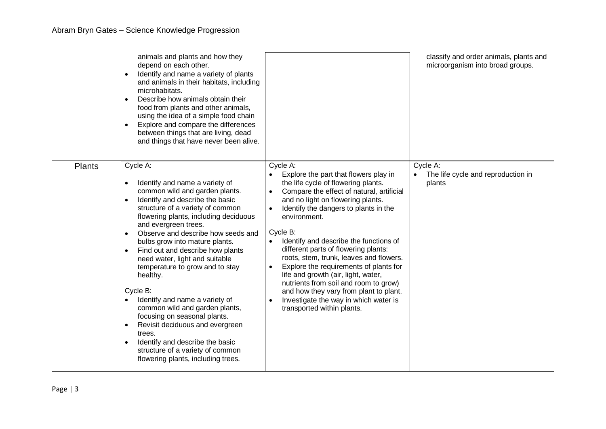|               | animals and plants and how they<br>depend on each other.<br>Identify and name a variety of plants<br>$\bullet$<br>and animals in their habitats, including<br>microhabitats.<br>Describe how animals obtain their<br>$\bullet$<br>food from plants and other animals,<br>using the idea of a simple food chain<br>Explore and compare the differences<br>$\bullet$<br>between things that are living, dead<br>and things that have never been alive.                                                                                                                                                                                                                                                                                                         |                                                                                                                                                                                                                                                                                                                                                                                                                                                                                                                                                                                                                         | classify and order animals, plants and<br>microorganism into broad groups. |
|---------------|--------------------------------------------------------------------------------------------------------------------------------------------------------------------------------------------------------------------------------------------------------------------------------------------------------------------------------------------------------------------------------------------------------------------------------------------------------------------------------------------------------------------------------------------------------------------------------------------------------------------------------------------------------------------------------------------------------------------------------------------------------------|-------------------------------------------------------------------------------------------------------------------------------------------------------------------------------------------------------------------------------------------------------------------------------------------------------------------------------------------------------------------------------------------------------------------------------------------------------------------------------------------------------------------------------------------------------------------------------------------------------------------------|----------------------------------------------------------------------------|
| <b>Plants</b> | Cycle A:<br>Identify and name a variety of<br>$\bullet$<br>common wild and garden plants.<br>Identify and describe the basic<br>$\bullet$<br>structure of a variety of common<br>flowering plants, including deciduous<br>and evergreen trees.<br>Observe and describe how seeds and<br>$\bullet$<br>bulbs grow into mature plants.<br>Find out and describe how plants<br>$\bullet$<br>need water, light and suitable<br>temperature to grow and to stay<br>healthy.<br>Cycle B:<br>Identify and name a variety of<br>common wild and garden plants,<br>focusing on seasonal plants.<br>Revisit deciduous and evergreen<br>$\bullet$<br>trees.<br>Identify and describe the basic<br>structure of a variety of common<br>flowering plants, including trees. | Cycle A:<br>Explore the part that flowers play in<br>the life cycle of flowering plants.<br>Compare the effect of natural, artificial<br>and no light on flowering plants.<br>Identify the dangers to plants in the<br>environment.<br>Cycle B:<br>Identify and describe the functions of<br>different parts of flowering plants:<br>roots, stem, trunk, leaves and flowers.<br>Explore the requirements of plants for<br>life and growth (air, light, water,<br>nutrients from soil and room to grow)<br>and how they vary from plant to plant.<br>Investigate the way in which water is<br>transported within plants. | Cycle A:<br>The life cycle and reproduction in<br>plants                   |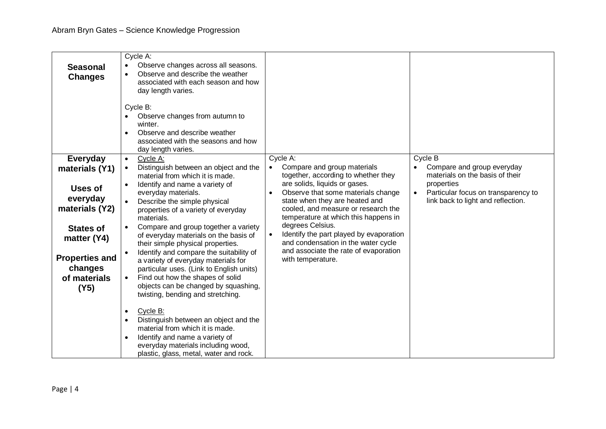| <b>Seasonal</b><br><b>Changes</b>                                                                                                                                  | Cycle A:<br>Observe changes across all seasons.<br>$\bullet$<br>Observe and describe the weather<br>associated with each season and how<br>day length varies.<br>Cycle B:<br>Observe changes from autumn to<br>winter.<br>Observe and describe weather<br>associated with the seasons and how<br>day length varies.                                                                                                                                                                                                                                                                                                                                                                                                                                                                                                                                                                             |                                                                                                                                                                                                                                                                                                                                                                                                                                                                                   |                                                                                                                                                                                               |
|--------------------------------------------------------------------------------------------------------------------------------------------------------------------|-------------------------------------------------------------------------------------------------------------------------------------------------------------------------------------------------------------------------------------------------------------------------------------------------------------------------------------------------------------------------------------------------------------------------------------------------------------------------------------------------------------------------------------------------------------------------------------------------------------------------------------------------------------------------------------------------------------------------------------------------------------------------------------------------------------------------------------------------------------------------------------------------|-----------------------------------------------------------------------------------------------------------------------------------------------------------------------------------------------------------------------------------------------------------------------------------------------------------------------------------------------------------------------------------------------------------------------------------------------------------------------------------|-----------------------------------------------------------------------------------------------------------------------------------------------------------------------------------------------|
| Everyday<br>materials (Y1)<br>Uses of<br>everyday<br>materials (Y2)<br><b>States of</b><br>matter (Y4)<br><b>Properties and</b><br>changes<br>of materials<br>(Y5) | Cycle A:<br>$\bullet$<br>Distinguish between an object and the<br>material from which it is made.<br>Identify and name a variety of<br>$\bullet$<br>everyday materials.<br>Describe the simple physical<br>properties of a variety of everyday<br>materials.<br>Compare and group together a variety<br>$\bullet$<br>of everyday materials on the basis of<br>their simple physical properties.<br>Identify and compare the suitability of<br>$\bullet$<br>a variety of everyday materials for<br>particular uses. (Link to English units)<br>Find out how the shapes of solid<br>objects can be changed by squashing,<br>twisting, bending and stretching.<br>Cycle B:<br>$\bullet$<br>Distinguish between an object and the<br>$\bullet$<br>material from which it is made.<br>Identify and name a variety of<br>everyday materials including wood,<br>plastic, glass, metal, water and rock. | Cycle A:<br>Compare and group materials<br>$\bullet$<br>together, according to whether they<br>are solids, liquids or gases.<br>Observe that some materials change<br>$\bullet$<br>state when they are heated and<br>cooled, and measure or research the<br>temperature at which this happens in<br>degrees Celsius.<br>Identify the part played by evaporation<br>$\bullet$<br>and condensation in the water cycle<br>and associate the rate of evaporation<br>with temperature. | Cycle B<br>Compare and group everyday<br>$\bullet$<br>materials on the basis of their<br>properties<br>Particular focus on transparency to<br>$\bullet$<br>link back to light and reflection. |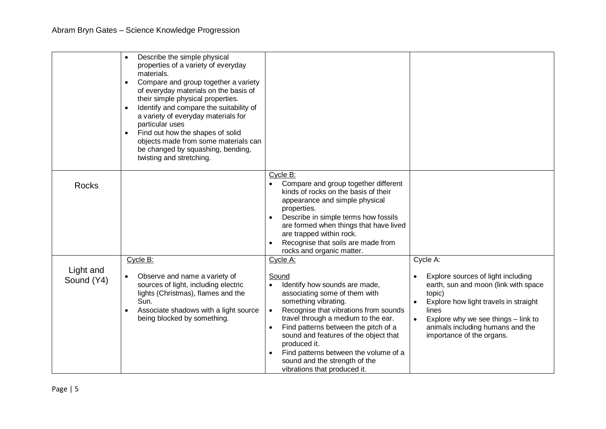|                         | Describe the simple physical<br>properties of a variety of everyday<br>materials.<br>Compare and group together a variety<br>$\bullet$<br>of everyday materials on the basis of<br>their simple physical properties.<br>Identify and compare the suitability of<br>$\bullet$<br>a variety of everyday materials for<br>particular uses<br>Find out how the shapes of solid<br>objects made from some materials can<br>be changed by squashing, bending,<br>twisting and stretching. |                                                                                                                                                                                                                                                                                                                                                                                                                                                                   |                                                                                                                                                                                                                                                                         |
|-------------------------|-------------------------------------------------------------------------------------------------------------------------------------------------------------------------------------------------------------------------------------------------------------------------------------------------------------------------------------------------------------------------------------------------------------------------------------------------------------------------------------|-------------------------------------------------------------------------------------------------------------------------------------------------------------------------------------------------------------------------------------------------------------------------------------------------------------------------------------------------------------------------------------------------------------------------------------------------------------------|-------------------------------------------------------------------------------------------------------------------------------------------------------------------------------------------------------------------------------------------------------------------------|
| <b>Rocks</b>            |                                                                                                                                                                                                                                                                                                                                                                                                                                                                                     | Cycle B:<br>Compare and group together different<br>kinds of rocks on the basis of their<br>appearance and simple physical<br>properties.<br>Describe in simple terms how fossils<br>are formed when things that have lived<br>are trapped within rock.<br>Recognise that soils are made from<br>$\bullet$<br>rocks and organic matter.                                                                                                                           |                                                                                                                                                                                                                                                                         |
| Light and<br>Sound (Y4) | Cycle B:<br>Observe and name a variety of<br>sources of light, including electric<br>lights (Christmas), flames and the<br>Sun.<br>Associate shadows with a light source<br>being blocked by something.                                                                                                                                                                                                                                                                             | Cycle A:<br><b>Sound</b><br>Identify how sounds are made,<br>$\bullet$<br>associating some of them with<br>something vibrating.<br>Recognise that vibrations from sounds<br>$\bullet$<br>travel through a medium to the ear.<br>Find patterns between the pitch of a<br>$\bullet$<br>sound and features of the object that<br>produced it.<br>Find patterns between the volume of a<br>$\bullet$<br>sound and the strength of the<br>vibrations that produced it. | Cycle A:<br>Explore sources of light including<br>earth, sun and moon (link with space<br>topic)<br>Explore how light travels in straight<br>lines<br>Explore why we see things - link to<br>$\bullet$<br>animals including humans and the<br>importance of the organs. |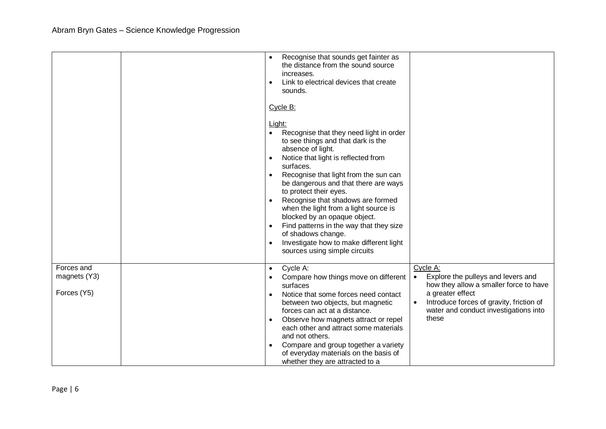|                                           | Recognise that sounds get fainter as<br>$\bullet$<br>the distance from the sound source<br>increases.<br>Link to electrical devices that create<br>$\bullet$<br>sounds.<br>Cycle B:<br>Light:<br>Recognise that they need light in order<br>$\bullet$<br>to see things and that dark is the<br>absence of light.<br>Notice that light is reflected from<br>$\bullet$<br>surfaces.<br>Recognise that light from the sun can<br>$\bullet$<br>be dangerous and that there are ways<br>to protect their eyes.<br>Recognise that shadows are formed<br>$\bullet$<br>when the light from a light source is<br>blocked by an opaque object.<br>Find patterns in the way that they size<br>$\bullet$<br>of shadows change.<br>Investigate how to make different light<br>$\bullet$<br>sources using simple circuits |                                                                                                                                                                                                                                      |
|-------------------------------------------|-------------------------------------------------------------------------------------------------------------------------------------------------------------------------------------------------------------------------------------------------------------------------------------------------------------------------------------------------------------------------------------------------------------------------------------------------------------------------------------------------------------------------------------------------------------------------------------------------------------------------------------------------------------------------------------------------------------------------------------------------------------------------------------------------------------|--------------------------------------------------------------------------------------------------------------------------------------------------------------------------------------------------------------------------------------|
| Forces and<br>magnets (Y3)<br>Forces (Y5) | Cycle A:<br>$\bullet$<br>Compare how things move on different<br>$\bullet$<br>surfaces<br>Notice that some forces need contact<br>$\bullet$<br>between two objects, but magnetic<br>forces can act at a distance.<br>Observe how magnets attract or repel<br>$\bullet$<br>each other and attract some materials<br>and not others.<br>Compare and group together a variety<br>$\bullet$<br>of everyday materials on the basis of<br>whether they are attracted to a                                                                                                                                                                                                                                                                                                                                         | Cycle A:<br>Explore the pulleys and levers and<br>$\bullet$<br>how they allow a smaller force to have<br>a greater effect<br>Introduce forces of gravity, friction of<br>$\bullet$<br>water and conduct investigations into<br>these |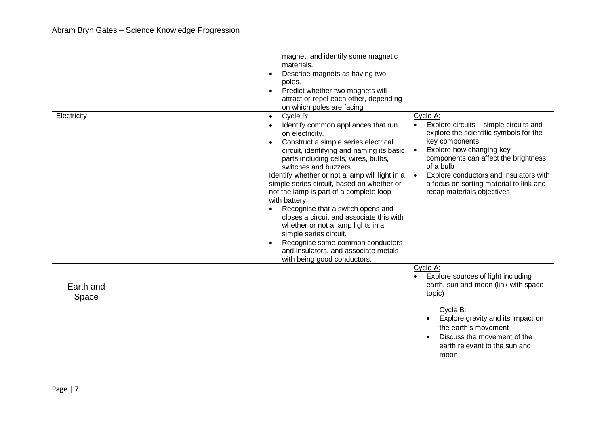|             | magnet, and identify some magnetic<br>materials.                    |                                                                                  |
|-------------|---------------------------------------------------------------------|----------------------------------------------------------------------------------|
|             | Describe magnets as having two<br>$\bullet$                         |                                                                                  |
|             | poles.<br>Predict whether two magnets will<br>$\bullet$             |                                                                                  |
|             | attract or repel each other, depending                              |                                                                                  |
|             | on which poles are facing                                           |                                                                                  |
| Electricity | Cycle B:<br>$\bullet$                                               | Cycle A:                                                                         |
|             | Identify common appliances that run<br>$\bullet$<br>on electricity. | Explore circuits – simple circuits and<br>explore the scientific symbols for the |
|             | Construct a simple series electrical<br>$\bullet$                   | key components                                                                   |
|             | circuit, identifying and naming its basic                           | Explore how changing key<br>$\bullet$                                            |
|             | parts including cells, wires, bulbs,<br>switches and buzzers.       | components can affect the brightness<br>of a bulb                                |
|             | Identify whether or not a lamp will light in a                      | Explore conductors and insulators with<br>$\bullet$                              |
|             | simple series circuit, based on whether or                          | a focus on sorting material to link and                                          |
|             | not the lamp is part of a complete loop                             | recap materials objectives                                                       |
|             | with battery.<br>Recognise that a switch opens and<br>$\bullet$     |                                                                                  |
|             | closes a circuit and associate this with                            |                                                                                  |
|             | whether or not a lamp lights in a                                   |                                                                                  |
|             | simple series circuit.                                              |                                                                                  |
|             | Recognise some common conductors<br>$\bullet$                       |                                                                                  |
|             | and insulators, and associate metals<br>with being good conductors. |                                                                                  |
|             |                                                                     | Cycle A:                                                                         |
|             |                                                                     | Explore sources of light including                                               |
| Earth and   |                                                                     | earth, sun and moon (link with space                                             |
| Space       |                                                                     | topic)                                                                           |
|             |                                                                     | Cycle B:                                                                         |
|             |                                                                     | Explore gravity and its impact on                                                |
|             |                                                                     | the earth's movement                                                             |
|             |                                                                     | Discuss the movement of the                                                      |
|             |                                                                     | earth relevant to the sun and                                                    |
|             |                                                                     | moon                                                                             |
|             |                                                                     |                                                                                  |
|             |                                                                     |                                                                                  |